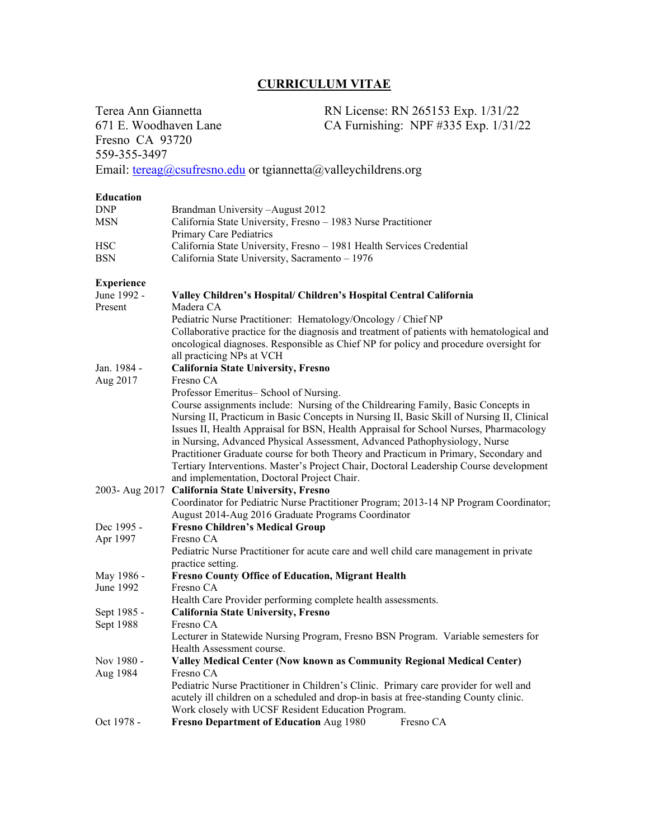## **CURRICULUM VITAE**

Terea Ann Giannetta RN License: RN 265153 Exp. 1/31/22 671 E. Woodhaven Lane CA Furnishing: NPF #335 Exp. 1/31/22 Fresno CA 93720 559-355-3497 Email: [tereag@csufresno.edu](mailto:tereag@csufresno.edu) or tgiannetta@valleychildrens.org **Education** DNP Brandman University –August 2012 MSN California State University, Fresno – 1983 Nurse Practitioner Primary Care Pediatrics HSC California State University, Fresno – 1981 Health Services Credential BSN California State University, Sacramento – 1976 **Experience** Valley Children's Hospital/ Children's Hospital Central California Present Madera CA Pediatric Nurse Practitioner: Hematology/Oncology / Chief NP Collaborative practice for the diagnosis and treatment of patients with hematological and oncological diagnoses. Responsible as Chief NP for policy and procedure oversight for all practicing NPs at VCH Jan. 1984 - **California State University, Fresno** Aug 2017 Fresno CA Professor Emeritus– School of Nursing. Course assignments include: Nursing of the Childrearing Family, Basic Concepts in Nursing II, Practicum in Basic Concepts in Nursing II, Basic Skill of Nursing II, Clinical Issues II, Health Appraisal for BSN, Health Appraisal for School Nurses, Pharmacology in Nursing, Advanced Physical Assessment, Advanced Pathophysiology, Nurse Practitioner Graduate course for both Theory and Practicum in Primary, Secondary and Tertiary Interventions. Master's Project Chair, Doctoral Leadership Course development and implementation, Doctoral Project Chair. 2003- Aug 2017 **California State University, Fresno** Coordinator for Pediatric Nurse Practitioner Program; 2013-14 NP Program Coordinator; August 2014-Aug 2016 Graduate Programs Coordinator Dec 1995 - **Fresno Children's Medical Group** Apr 1997 Fresno CA Pediatric Nurse Practitioner for acute care and well child care management in private practice setting. May 1986 - **Fresno County Office of Education, Migrant Health** June 1992 Fresno CA Health Care Provider performing complete health assessments. Sept 1985 - **California State University, Fresno** Sept 1988 Fresno CA Lecturer in Statewide Nursing Program, Fresno BSN Program. Variable semesters for Health Assessment course. Nov 1980 - **Valley Medical Center (Now known as Community Regional Medical Center)** Aug 1984 Fresno CA Pediatric Nurse Practitioner in Children's Clinic. Primary care provider for well and acutely ill children on a scheduled and drop-in basis at free-standing County clinic. Work closely with UCSF Resident Education Program. Oct 1978 - **Fresno Department of Education** Aug 1980 Fresno CA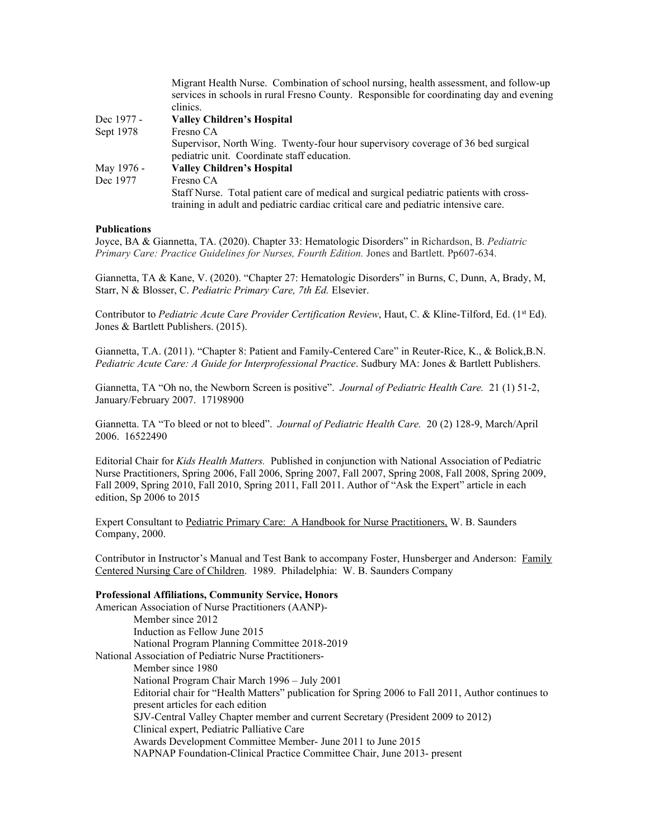|            | Migrant Health Nurse. Combination of school nursing, health assessment, and follow-up    |
|------------|------------------------------------------------------------------------------------------|
|            | services in schools in rural Fresno County. Responsible for coordinating day and evening |
|            | clinics.                                                                                 |
| Dec 1977 - | <b>Valley Children's Hospital</b>                                                        |
| Sept 1978  | Fresno CA                                                                                |
|            | Supervisor, North Wing. Twenty-four hour supervisory coverage of 36 bed surgical         |
|            | pediatric unit. Coordinate staff education.                                              |
| May 1976 - | <b>Valley Children's Hospital</b>                                                        |
| Dec 1977   | Fresno CA                                                                                |
|            | Staff Nurse. Total patient care of medical and surgical pediatric patients with cross-   |
|            | training in adult and pediatric cardiac critical care and pediatric intensive care.      |

## **Publications**

Joyce, BA & Giannetta, TA. (2020). Chapter 33: Hematologic Disorders" in Richardson, B. *Pediatric Primary Care: Practice Guidelines for Nurses, Fourth Edition.* Jones and Bartlett. Pp607-634.

Giannetta, TA & Kane, V. (2020). "Chapter 27: Hematologic Disorders" in Burns, C, Dunn, A, Brady, M, Starr, N & Blosser, C. *Pediatric Primary Care, 7th Ed.* Elsevier.

Contributor to *Pediatric Acute Care Provider Certification Review*, Haut, C. & Kline-Tilford, Ed. (1<sup>st</sup> Ed). Jones & Bartlett Publishers. (2015).

Giannetta, T.A. (2011). "Chapter 8: Patient and Family-Centered Care" in Reuter-Rice, K., & Bolick,B.N. *Pediatric Acute Care: A Guide for Interprofessional Practice*. Sudbury MA: Jones & Bartlett Publishers.

Giannetta, TA "Oh no, the Newborn Screen is positive". *Journal of Pediatric Health Care.* 21 (1) 51-2, January/February 2007. 17198900

Giannetta. TA "To bleed or not to bleed". *Journal of Pediatric Health Care.* 20 (2) 128-9, March/April 2006. 16522490

Editorial Chair for *Kids Health Matters.* Published in conjunction with National Association of Pediatric Nurse Practitioners, Spring 2006, Fall 2006, Spring 2007, Fall 2007, Spring 2008, Fall 2008, Spring 2009, Fall 2009, Spring 2010, Fall 2010, Spring 2011, Fall 2011. Author of "Ask the Expert" article in each edition, Sp 2006 to 2015

Expert Consultant to Pediatric Primary Care: A Handbook for Nurse Practitioners, W. B. Saunders Company, 2000.

Contributor in Instructor's Manual and Test Bank to accompany Foster, Hunsberger and Anderson: Family Centered Nursing Care of Children. 1989. Philadelphia: W. B. Saunders Company

## **Professional Affiliations, Community Service, Honors**

American Association of Nurse Practitioners (AANP)- Member since 2012 Induction as Fellow June 2015 National Program Planning Committee 2018-2019 National Association of Pediatric Nurse Practitioners-Member since 1980 National Program Chair March 1996 – July 2001 Editorial chair for "Health Matters" publication for Spring 2006 to Fall 2011, Author continues to present articles for each edition SJV-Central Valley Chapter member and current Secretary (President 2009 to 2012) Clinical expert, Pediatric Palliative Care Awards Development Committee Member- June 2011 to June 2015 NAPNAP Foundation-Clinical Practice Committee Chair, June 2013- present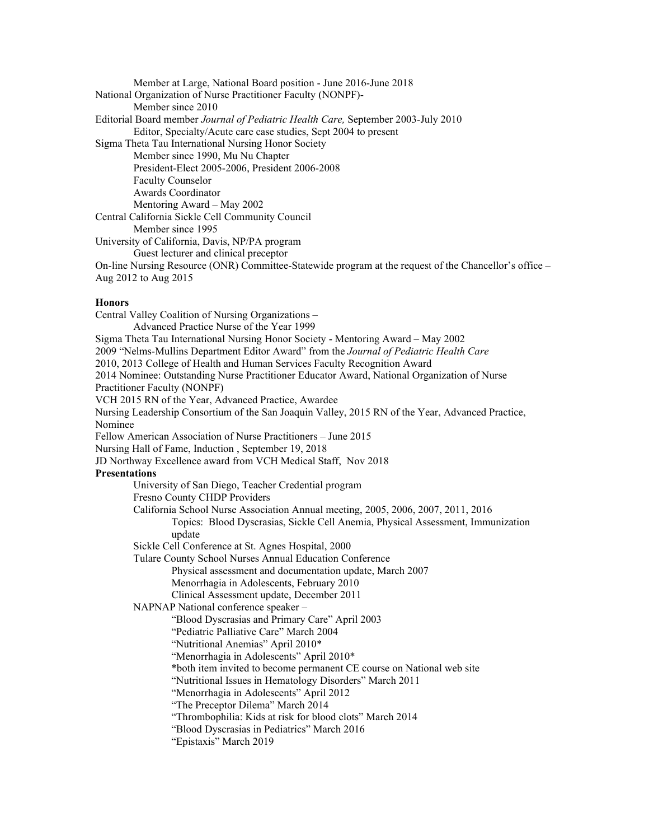Member at Large, National Board position - June 2016-June 2018 National Organization of Nurse Practitioner Faculty (NONPF)- Member since 2010 Editorial Board member *Journal of Pediatric Health Care,* September 2003-July 2010 Editor, Specialty/Acute care case studies, Sept 2004 to present Sigma Theta Tau International Nursing Honor Society Member since 1990, Mu Nu Chapter President-Elect 2005-2006, President 2006-2008 Faculty Counselor Awards Coordinator Mentoring Award – May 2002 Central California Sickle Cell Community Council Member since 1995 University of California, Davis, NP/PA program Guest lecturer and clinical preceptor On-line Nursing Resource (ONR) Committee-Statewide program at the request of the Chancellor's office – Aug 2012 to Aug 2015 **Honors** Central Valley Coalition of Nursing Organizations – Advanced Practice Nurse of the Year 1999 Sigma Theta Tau International Nursing Honor Society - Mentoring Award – May 2002 2009 "Nelms-Mullins Department Editor Award" from the *Journal of Pediatric Health Care* 2010, 2013 College of Health and Human Services Faculty Recognition Award 2014 Nominee: Outstanding Nurse Practitioner Educator Award, National Organization of Nurse Practitioner Faculty (NONPF) VCH 2015 RN of the Year, Advanced Practice, Awardee Nursing Leadership Consortium of the San Joaquin Valley, 2015 RN of the Year, Advanced Practice, Nominee Fellow American Association of Nurse Practitioners – June 2015 Nursing Hall of Fame, Induction , September 19, 2018 JD Northway Excellence award from VCH Medical Staff, Nov 2018 **Presentations** University of San Diego, Teacher Credential program Fresno County CHDP Providers California School Nurse Association Annual meeting, 2005, 2006, 2007, 2011, 2016 Topics: Blood Dyscrasias, Sickle Cell Anemia, Physical Assessment, Immunization update Sickle Cell Conference at St. Agnes Hospital, 2000 Tulare County School Nurses Annual Education Conference Physical assessment and documentation update, March 2007 Menorrhagia in Adolescents, February 2010 Clinical Assessment update, December 2011 NAPNAP National conference speaker – "Blood Dyscrasias and Primary Care" April 2003 "Pediatric Palliative Care" March 2004 "Nutritional Anemias" April 2010\* "Menorrhagia in Adolescents" April 2010\* \*both item invited to become permanent CE course on National web site "Nutritional Issues in Hematology Disorders" March 2011 "Menorrhagia in Adolescents" April 2012 "The Preceptor Dilema" March 2014 "Thrombophilia: Kids at risk for blood clots" March 2014 "Blood Dyscrasias in Pediatrics" March 2016 "Epistaxis" March 2019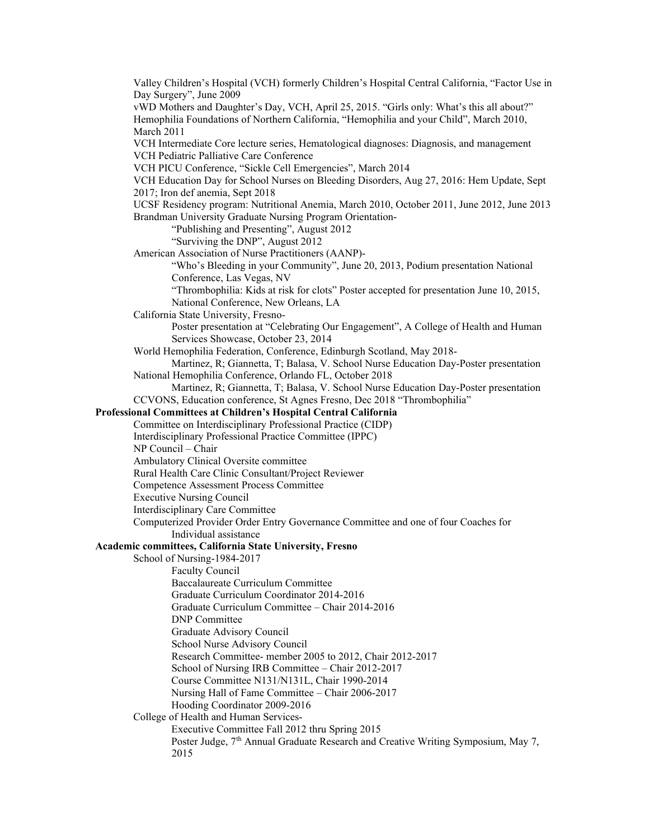Valley Children's Hospital (VCH) formerly Children's Hospital Central California, "Factor Use in Day Surgery", June 2009 vWD Mothers and Daughter's Day, VCH, April 25, 2015. "Girls only: What's this all about?" Hemophilia Foundations of Northern California, "Hemophilia and your Child", March 2010, March 2011 VCH Intermediate Core lecture series, Hematological diagnoses: Diagnosis, and management VCH Pediatric Palliative Care Conference VCH PICU Conference, "Sickle Cell Emergencies", March 2014 VCH Education Day for School Nurses on Bleeding Disorders, Aug 27, 2016: Hem Update, Sept 2017; Iron def anemia, Sept 2018 UCSF Residency program: Nutritional Anemia, March 2010, October 2011, June 2012, June 2013 Brandman University Graduate Nursing Program Orientation- "Publishing and Presenting", August 2012 "Surviving the DNP", August 2012 American Association of Nurse Practitioners (AANP)- "Who's Bleeding in your Community", June 20, 2013, Podium presentation National Conference, Las Vegas, NV "Thrombophilia: Kids at risk for clots" Poster accepted for presentation June 10, 2015, National Conference, New Orleans, LA California State University, Fresno-Poster presentation at "Celebrating Our Engagement", A College of Health and Human Services Showcase, October 23, 2014 World Hemophilia Federation, Conference, Edinburgh Scotland, May 2018- Martinez, R; Giannetta, T; Balasa, V. School Nurse Education Day-Poster presentation National Hemophilia Conference, Orlando FL, October 2018 Martinez, R; Giannetta, T; Balasa, V. School Nurse Education Day-Poster presentation CCVONS, Education conference, St Agnes Fresno, Dec 2018 "Thrombophilia" **Professional Committees at Children's Hospital Central California** Committee on Interdisciplinary Professional Practice (CIDP) Interdisciplinary Professional Practice Committee (IPPC) NP Council – Chair Ambulatory Clinical Oversite committee Rural Health Care Clinic Consultant/Project Reviewer Competence Assessment Process Committee Executive Nursing Council Interdisciplinary Care Committee Computerized Provider Order Entry Governance Committee and one of four Coaches for Individual assistance **Academic committees, California State University, Fresno** School of Nursing-1984-2017 Faculty Council Baccalaureate Curriculum Committee Graduate Curriculum Coordinator 2014-2016 Graduate Curriculum Committee – Chair 2014-2016 DNP Committee Graduate Advisory Council School Nurse Advisory Council Research Committee- member 2005 to 2012, Chair 2012-2017 School of Nursing IRB Committee – Chair 2012-2017 Course Committee N131/N131L, Chair 1990-2014 Nursing Hall of Fame Committee – Chair 2006-2017 Hooding Coordinator 2009-2016 College of Health and Human Services-Executive Committee Fall 2012 thru Spring 2015 Poster Judge, 7<sup>th</sup> Annual Graduate Research and Creative Writing Symposium, May 7, 2015